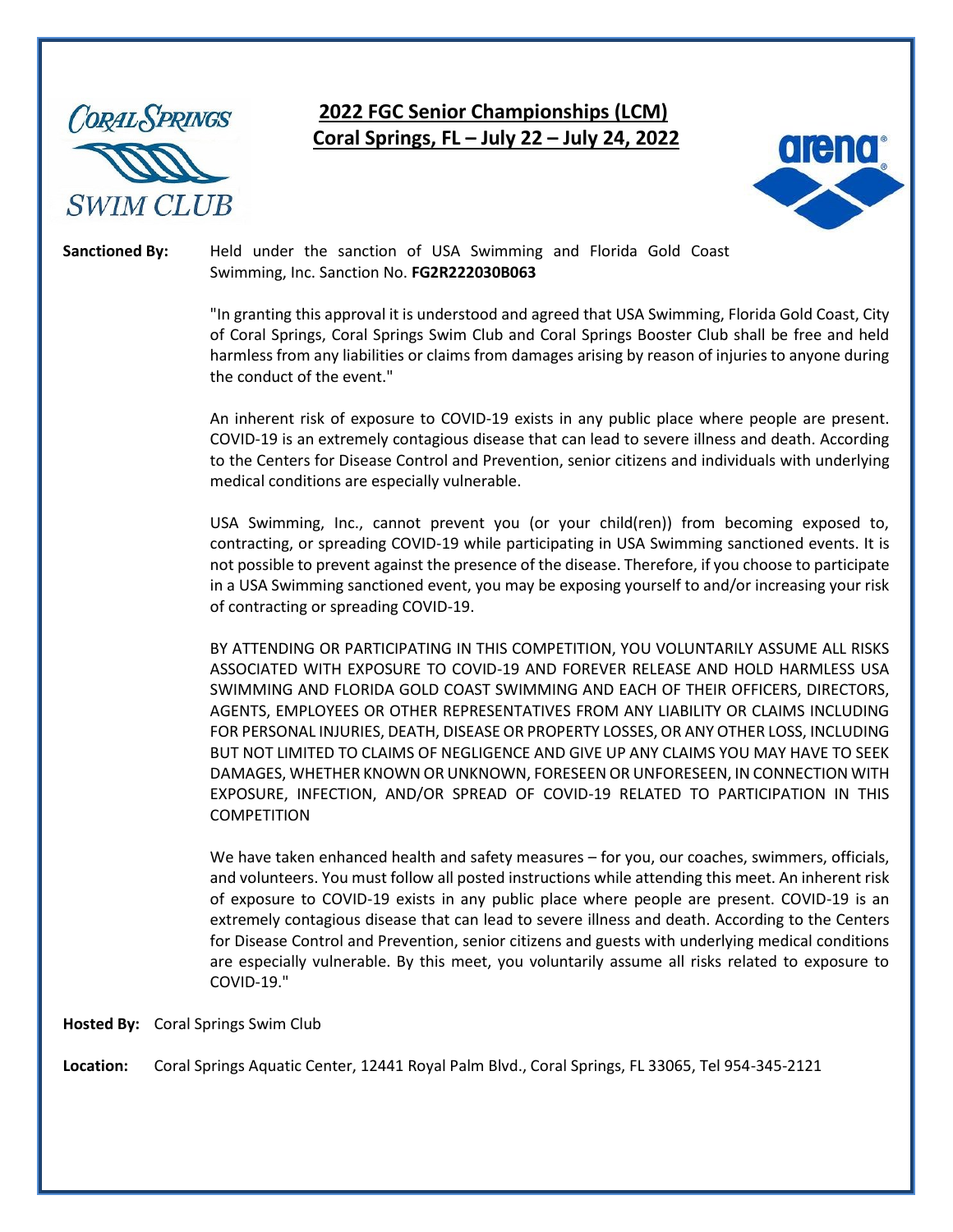

# **2022 FGC Senior Championships (LCM) Coral Springs, FL – July 22 – July 24, 2022**



**Sanctioned By:** Held under the sanction of USA Swimming and Florida Gold Coast Swimming, Inc. Sanction No. **FG2R222030B063**

> "In granting this approval it is understood and agreed that USA Swimming, Florida Gold Coast, City of Coral Springs, Coral Springs Swim Club and Coral Springs Booster Club shall be free and held harmless from any liabilities or claims from damages arising by reason of injuries to anyone during the conduct of the event."

> An inherent risk of exposure to COVID-19 exists in any public place where people are present. COVID-19 is an extremely contagious disease that can lead to severe illness and death. According to the Centers for Disease Control and Prevention, senior citizens and individuals with underlying medical conditions are especially vulnerable.

> USA Swimming, Inc., cannot prevent you (or your child(ren)) from becoming exposed to, contracting, or spreading COVID-19 while participating in USA Swimming sanctioned events. It is not possible to prevent against the presence of the disease. Therefore, if you choose to participate in a USA Swimming sanctioned event, you may be exposing yourself to and/or increasing your risk of contracting or spreading COVID-19.

> BY ATTENDING OR PARTICIPATING IN THIS COMPETITION, YOU VOLUNTARILY ASSUME ALL RISKS ASSOCIATED WITH EXPOSURE TO COVID-19 AND FOREVER RELEASE AND HOLD HARMLESS USA SWIMMING AND FLORIDA GOLD COAST SWIMMING AND EACH OF THEIR OFFICERS, DIRECTORS, AGENTS, EMPLOYEES OR OTHER REPRESENTATIVES FROM ANY LIABILITY OR CLAIMS INCLUDING FOR PERSONAL INJURIES, DEATH, DISEASE OR PROPERTY LOSSES, OR ANY OTHER LOSS, INCLUDING BUT NOT LIMITED TO CLAIMS OF NEGLIGENCE AND GIVE UP ANY CLAIMS YOU MAY HAVE TO SEEK DAMAGES, WHETHER KNOWN OR UNKNOWN, FORESEEN OR UNFORESEEN, IN CONNECTION WITH EXPOSURE, INFECTION, AND/OR SPREAD OF COVID-19 RELATED TO PARTICIPATION IN THIS COMPETITION

> We have taken enhanced health and safety measures – for you, our coaches, swimmers, officials, and volunteers. You must follow all posted instructions while attending this meet. An inherent risk of exposure to COVID-19 exists in any public place where people are present. COVID-19 is an extremely contagious disease that can lead to severe illness and death. According to the Centers for Disease Control and Prevention, senior citizens and guests with underlying medical conditions are especially vulnerable. By this meet, you voluntarily assume all risks related to exposure to COVID-19."

**Hosted By:** Coral Springs Swim Club

**Location:** Coral Springs Aquatic Center, 12441 Royal Palm Blvd., Coral Springs, FL 33065, Tel 954-345-2121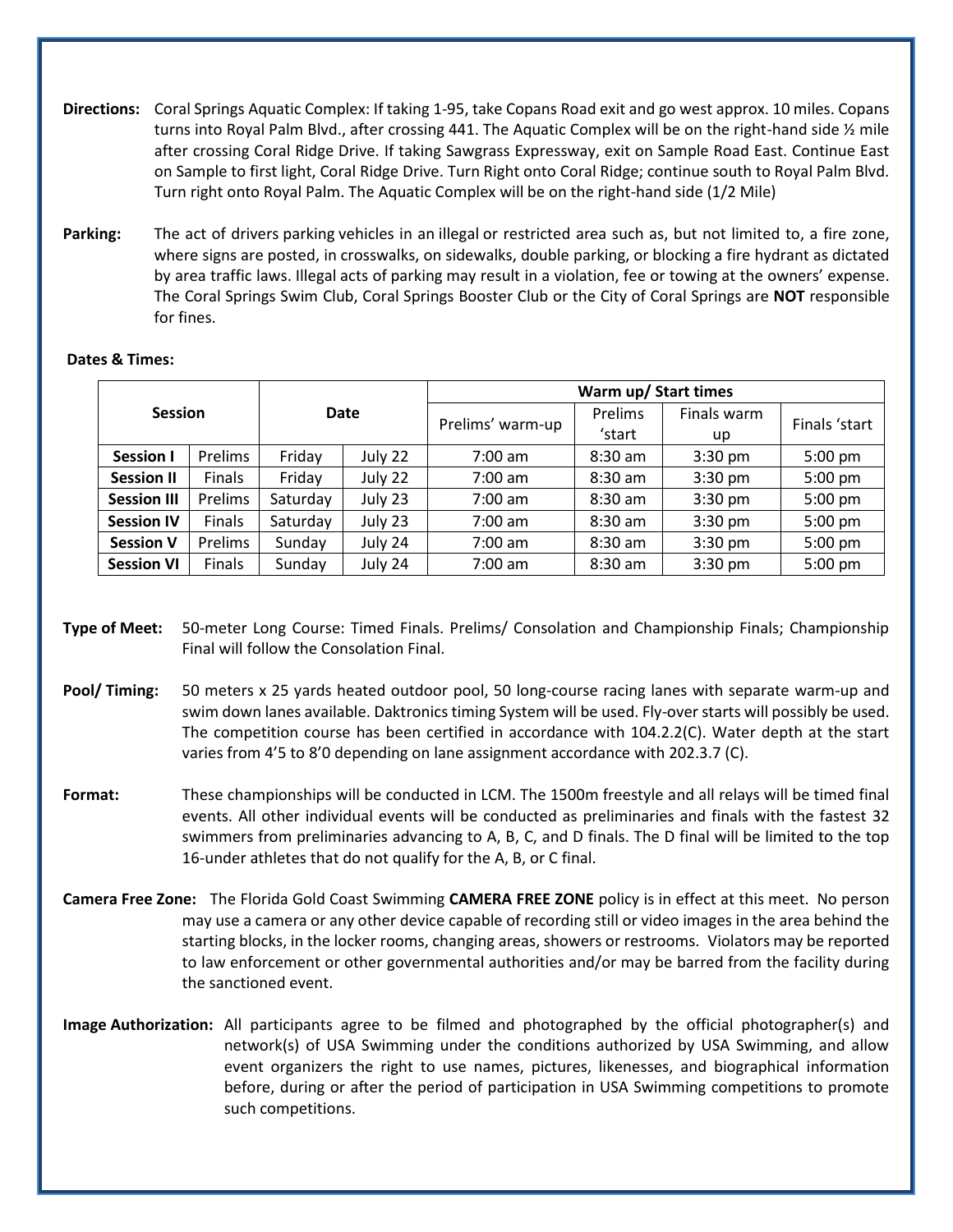- **Directions:** Coral Springs Aquatic Complex: If taking 1-95, take Copans Road exit and go west approx. 10 miles. Copans turns into Royal Palm Blvd., after crossing 441. The Aquatic Complex will be on the right-hand side ½ mile after crossing Coral Ridge Drive. If taking Sawgrass Expressway, exit on Sample Road East. Continue East on Sample to first light, Coral Ridge Drive. Turn Right onto Coral Ridge; continue south to Royal Palm Blvd. Turn right onto Royal Palm. The Aquatic Complex will be on the right-hand side (1/2 Mile)
- **Parking:** The act of drivers parking vehicles in an illegal or restricted area such as, but not limited to, a fire zone, where signs are posted, in crosswalks, on sidewalks, double parking, or blocking a fire hydrant as dictated by area traffic laws. Illegal acts of parking may result in a violation, fee or towing at the owners' expense. The Coral Springs Swim Club, Coral Springs Booster Club or the City of Coral Springs are **NOT** responsible for fines.

|  | <b>Session</b>     |         |          |         | Warm up/ Start times |           |             |               |  |
|--|--------------------|---------|----------|---------|----------------------|-----------|-------------|---------------|--|
|  |                    |         | Date     |         |                      | Prelims   | Finals warm | Finals 'start |  |
|  |                    |         |          |         | Prelims' warm-up     | 'start    | up          |               |  |
|  | <b>Session I</b>   | Prelims | Friday   | July 22 | $7:00 \text{ am}$    | $8:30$ am | $3:30$ pm   | 5:00 pm       |  |
|  | <b>Session II</b>  | Finals  | Friday   | July 22 | $7:00$ am            | $8:30$ am | $3:30$ pm   | 5:00 pm       |  |
|  | <b>Session III</b> | Prelims | Saturday | July 23 | $7:00$ am            | $8:30$ am | $3:30$ pm   | 5:00 pm       |  |
|  | <b>Session IV</b>  | Finals  | Saturday | July 23 | $7:00 \text{ am}$    | $8:30$ am | $3:30$ pm   | 5:00 pm       |  |
|  | <b>Session V</b>   | Prelims | Sunday   | July 24 | $7:00$ am            | $8:30$ am | $3:30$ pm   | 5:00 pm       |  |
|  | <b>Session VI</b>  | Finals  | Sunday   | July 24 | $7:00$ am            | $8:30$ am | $3:30$ pm   | 5:00 pm       |  |

# **Dates & Times:**

- **Type of Meet:** 50-meter Long Course: Timed Finals. Prelims/ Consolation and Championship Finals; Championship Final will follow the Consolation Final.
- **Pool/ Timing:** 50 meters x 25 yards heated outdoor pool, 50 long-course racing lanes with separate warm-up and swim down lanes available. Daktronics timing System will be used. Fly-over starts will possibly be used. The competition course has been certified in accordance with 104.2.2(C). Water depth at the start varies from 4'5 to 8'0 depending on lane assignment accordance with 202.3.7 (C).
- **Format:** These championships will be conducted in LCM. The 1500m freestyle and all relays will be timed final events. All other individual events will be conducted as preliminaries and finals with the fastest 32 swimmers from preliminaries advancing to A, B, C, and D finals. The D final will be limited to the top 16-under athletes that do not qualify for the A, B, or C final.
- **Camera Free Zone:** The Florida Gold Coast Swimming **CAMERA FREE ZONE** policy is in effect at this meet. No person may use a camera or any other device capable of recording still or video images in the area behind the starting blocks, in the locker rooms, changing areas, showers or restrooms. Violators may be reported to law enforcement or other governmental authorities and/or may be barred from the facility during the sanctioned event.
- **Image Authorization:** All participants agree to be filmed and photographed by the official photographer(s) and network(s) of USA Swimming under the conditions authorized by USA Swimming, and allow event organizers the right to use names, pictures, likenesses, and biographical information before, during or after the period of participation in USA Swimming competitions to promote such competitions.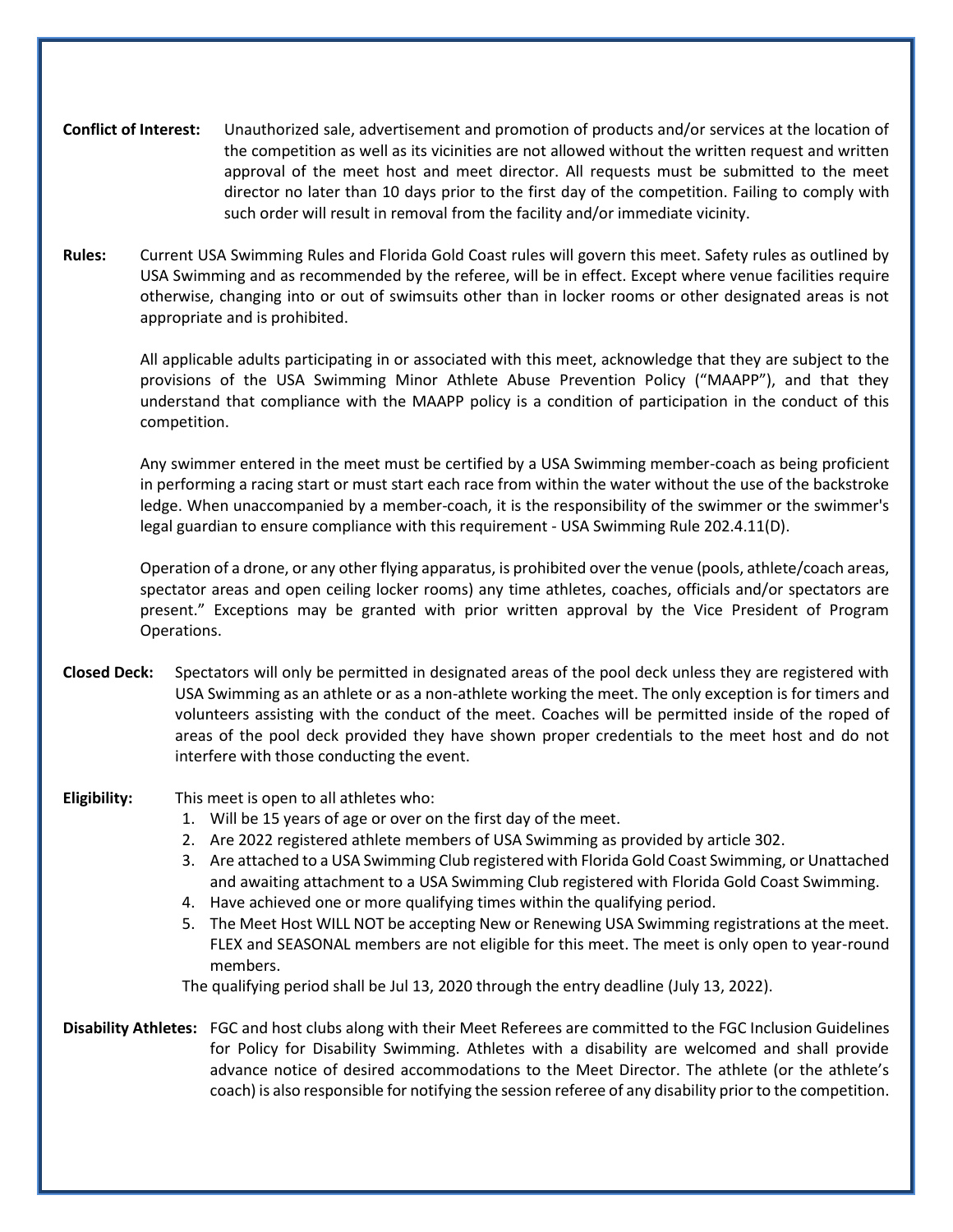- **Conflict of Interest:** Unauthorized sale, advertisement and promotion of products and/or services at the location of the competition as well as its vicinities are not allowed without the written request and written approval of the meet host and meet director. All requests must be submitted to the meet director no later than 10 days prior to the first day of the competition. Failing to comply with such order will result in removal from the facility and/or immediate vicinity.
- **Rules:** Current USA Swimming Rules and Florida Gold Coast rules will govern this meet. Safety rules as outlined by USA Swimming and as recommended by the referee, will be in effect. Except where venue facilities require otherwise, changing into or out of swimsuits other than in locker rooms or other designated areas is not appropriate and is prohibited.

All applicable adults participating in or associated with this meet, acknowledge that they are subject to the provisions of the USA Swimming Minor Athlete Abuse Prevention Policy ("MAAPP"), and that they understand that compliance with the MAAPP policy is a condition of participation in the conduct of this competition.

Any swimmer entered in the meet must be certified by a USA Swimming member-coach as being proficient in performing a racing start or must start each race from within the water without the use of the backstroke ledge. When unaccompanied by a member-coach, it is the responsibility of the swimmer or the swimmer's legal guardian to ensure compliance with this requirement - USA Swimming Rule 202.4.11(D).

Operation of a drone, or any other flying apparatus, is prohibited over the venue (pools, athlete/coach areas, spectator areas and open ceiling locker rooms) any time athletes, coaches, officials and/or spectators are present." Exceptions may be granted with prior written approval by the Vice President of Program Operations.

**Closed Deck:** Spectators will only be permitted in designated areas of the pool deck unless they are registered with USA Swimming as an athlete or as a non-athlete working the meet. The only exception is for timers and volunteers assisting with the conduct of the meet. Coaches will be permitted inside of the roped of areas of the pool deck provided they have shown proper credentials to the meet host and do not interfere with those conducting the event.

### **Eligibility:** This meet is open to all athletes who:

- 1. Will be 15 years of age or over on the first day of the meet.
- 2. Are 2022 registered athlete members of USA Swimming as provided by article 302.
- 3. Are attached to a USA Swimming Club registered with Florida Gold Coast Swimming, or Unattached and awaiting attachment to a USA Swimming Club registered with Florida Gold Coast Swimming.
- 4. Have achieved one or more qualifying times within the qualifying period.
- 5. The Meet Host WILL NOT be accepting New or Renewing USA Swimming registrations at the meet. FLEX and SEASONAL members are not eligible for this meet. The meet is only open to year-round members.

The qualifying period shall be Jul 13, 2020 through the entry deadline (July 13, 2022).

**Disability Athletes:** FGC and host clubs along with their Meet Referees are committed to the FGC Inclusion Guidelines for Policy for Disability Swimming. Athletes with a disability are welcomed and shall provide advance notice of desired accommodations to the Meet Director. The athlete (or the athlete's coach) is also responsible for notifying the session referee of any disability prior to the competition.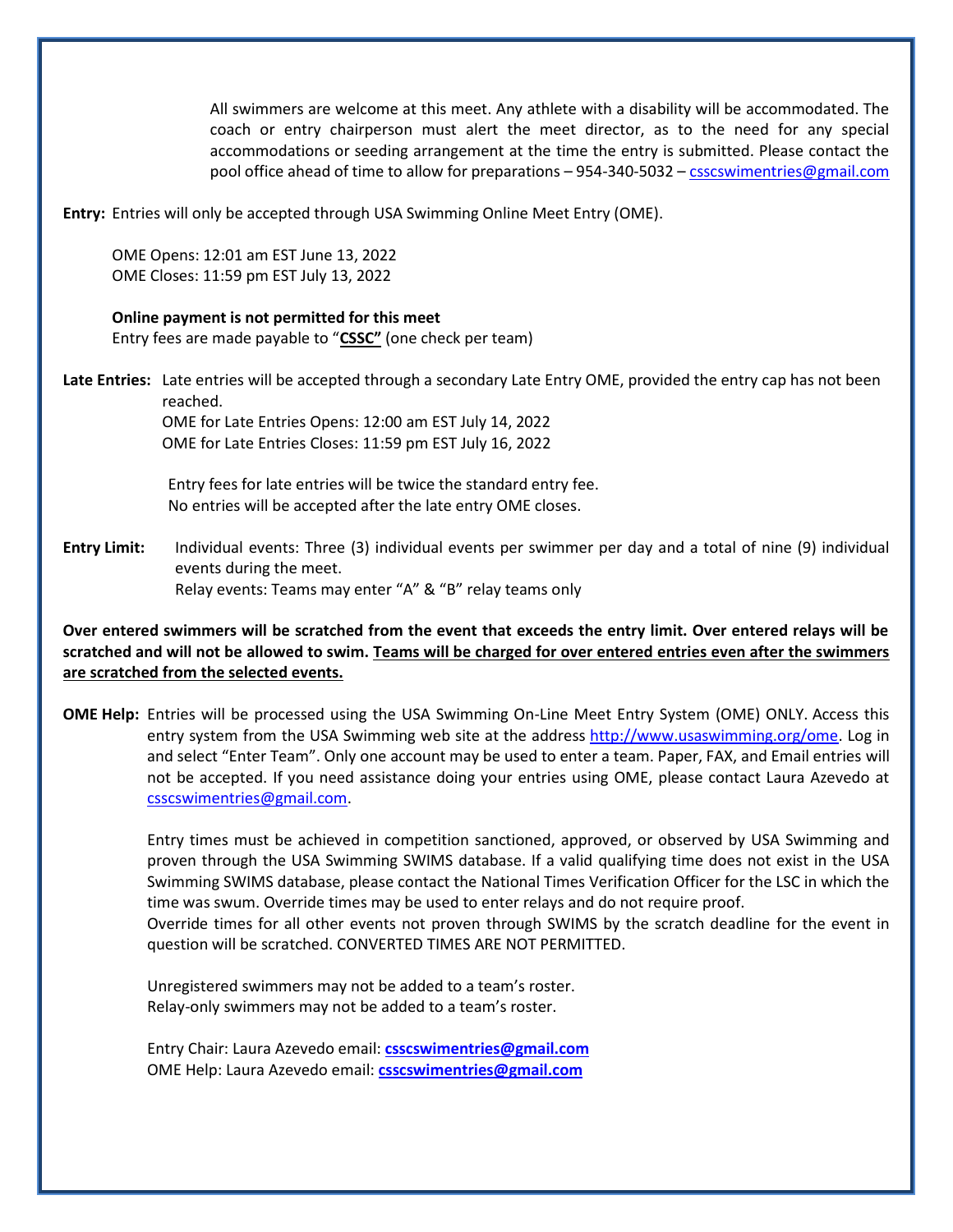All swimmers are welcome at this meet. Any athlete with a disability will be accommodated. The coach or entry chairperson must alert the meet director, as to the need for any special accommodations or seeding arrangement at the time the entry is submitted. Please contact the pool office ahead of time to allow for preparations – 954-340-5032 – [csscswimentries@gmail.com](mailto:csscswimentries@gmail.com)

**Entry:** Entries will only be accepted through USA Swimming Online Meet Entry (OME).

OME Opens: 12:01 am EST June 13, 2022 OME Closes: 11:59 pm EST July 13, 2022

### **Online payment is not permitted for this meet**

Entry fees are made payable to "**CSSC"** (one check per team)

**Late Entries:** Late entries will be accepted through a secondary Late Entry OME, provided the entry cap has not been reached.

OME for Late Entries Opens: 12:00 am EST July 14, 2022 OME for Late Entries Closes: 11:59 pm EST July 16, 2022

Entry fees for late entries will be twice the standard entry fee. No entries will be accepted after the late entry OME closes.

**Entry Limit:** Individual events: Three (3) individual events per swimmer per day and a total of nine (9) individual events during the meet. Relay events: Teams may enter "A" & "B" relay teams only

# **Over entered swimmers will be scratched from the event that exceeds the entry limit. Over entered relays will be scratched and will not be allowed to swim. Teams will be charged for over entered entries even after the swimmers are scratched from the selected events.**

**OME Help:** Entries will be processed using the USA Swimming On-Line Meet Entry System (OME) ONLY. Access this entry system from the USA Swimming web site at the address [http://www.usaswimming.org/ome.](http://www.usaswimming.org/ome) Log in and select "Enter Team". Only one account may be used to enter a team. Paper, FAX, and Email entries will not be accepted. If you need assistance doing your entries using OME, please contact Laura Azevedo at [csscswimentries@gmail.com.](mailto:csscswimentries@gmail.com)

> Entry times must be achieved in competition sanctioned, approved, or observed by USA Swimming and proven through the USA Swimming SWIMS database. If a valid qualifying time does not exist in the USA Swimming SWIMS database, please contact the National Times Verification Officer for the LSC in which the time was swum. Override times may be used to enter relays and do not require proof. Override times for all other events not proven through SWIMS by the scratch deadline for the event in

question will be scratched. CONVERTED TIMES ARE NOT PERMITTED.

Unregistered swimmers may not be added to a team's roster. Relay-only swimmers may not be added to a team's roster.

Entry Chair: Laura Azevedo email: **[csscswimentries@gmail.com](mailto:csscswimentries@gmail.com)** OME Help: Laura Azevedo email: **[csscswimentries@gmail.com](mailto:csscswimentries@gmail.com)**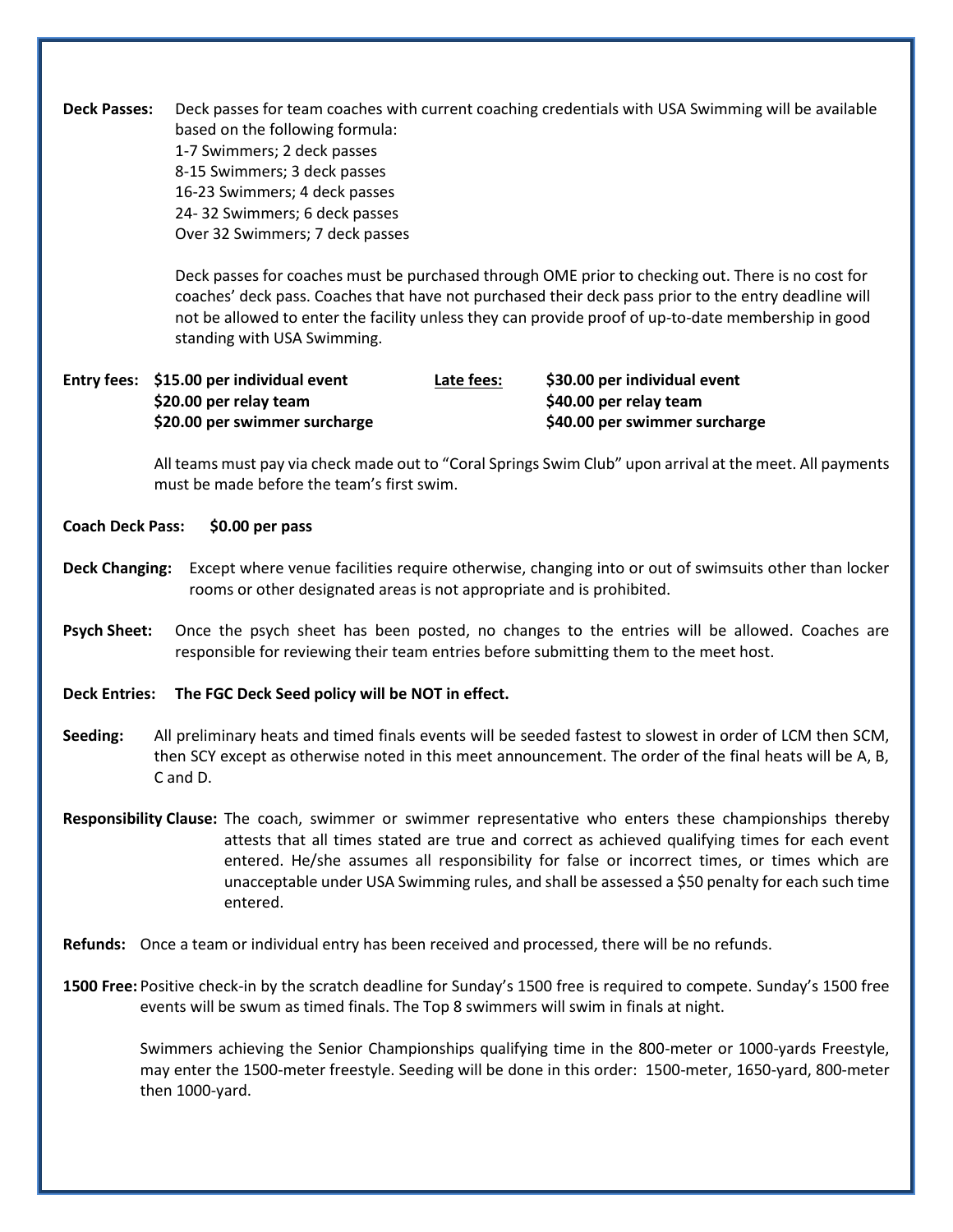**Deck Passes:** Deck passes for team coaches with current coaching credentials with USA Swimming will be available based on the following formula: 1-7 Swimmers; 2 deck passes 8-15 Swimmers; 3 deck passes 16-23 Swimmers; 4 deck passes 24- 32 Swimmers; 6 deck passes Over 32 Swimmers; 7 deck passes

> Deck passes for coaches must be purchased through OME prior to checking out. There is no cost for coaches' deck pass. Coaches that have not purchased their deck pass prior to the entry deadline will not be allowed to enter the facility unless they can provide proof of up-to-date membership in good standing with USA Swimming.

**Entry fees: \$15.00 per individual event Late fees: \$30.00 per individual event \$20.00 per relay team \$40.00 per relay team \$20.00 per swimmer surcharge \$40.00 per swimmer surcharge**

> All teams must pay via check made out to "Coral Springs Swim Club" upon arrival at the meet. All payments must be made before the team's first swim.

- **Coach Deck Pass: \$0.00 per pass**
- **Deck Changing:** Except where venue facilities require otherwise, changing into or out of swimsuits other than locker rooms or other designated areas is not appropriate and is prohibited.
- **Psych Sheet:** Once the psych sheet has been posted, no changes to the entries will be allowed. Coaches are responsible for reviewing their team entries before submitting them to the meet host.
- **Deck Entries: The FGC Deck Seed policy will be NOT in effect.**
- **Seeding:** All preliminary heats and timed finals events will be seeded fastest to slowest in order of LCM then SCM, then SCY except as otherwise noted in this meet announcement. The order of the final heats will be A, B, C and D.
- **Responsibility Clause:** The coach, swimmer or swimmer representative who enters these championships thereby attests that all times stated are true and correct as achieved qualifying times for each event entered. He/she assumes all responsibility for false or incorrect times, or times which are unacceptable under USA Swimming rules, and shall be assessed a \$50 penalty for each such time entered.
- **Refunds:** Once a team or individual entry has been received and processed, there will be no refunds.
- **1500 Free:** Positive check-in by the scratch deadline for Sunday's 1500 free is required to compete. Sunday's 1500 free events will be swum as timed finals. The Top 8 swimmers will swim in finals at night.

Swimmers achieving the Senior Championships qualifying time in the 800-meter or 1000-yards Freestyle, may enter the 1500-meter freestyle. Seeding will be done in this order: 1500-meter, 1650-yard, 800-meter then 1000-yard.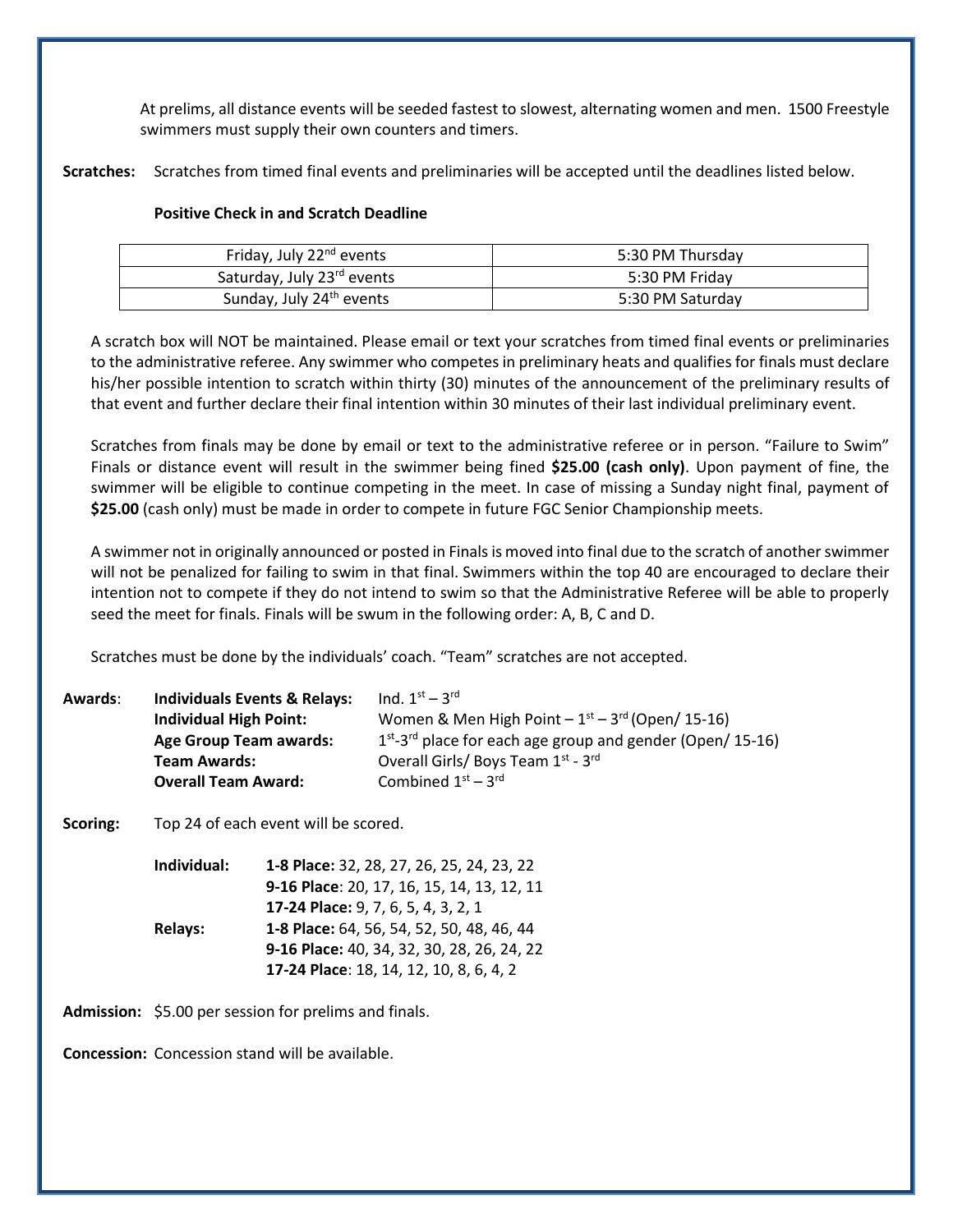At prelims, all distance events will be seeded fastest to slowest, alternating women and men. 1500 Freestyle swimmers must supply their own counters and timers.

**Scratches:** Scratches from timed final events and preliminaries will be accepted until the deadlines listed below.

# **Positive Check in and Scratch Deadline**

| Friday, July 22 <sup>nd</sup> events   | 5:30 PM Thursdav |
|----------------------------------------|------------------|
| Saturday, July 23 <sup>rd</sup> events | 5:30 PM Friday   |
| Sunday, July 24 <sup>th</sup> events   | 5:30 PM Saturday |

A scratch box will NOT be maintained. Please email or text your scratches from timed final events or preliminaries to the administrative referee. Any swimmer who competes in preliminary heats and qualifies for finals must declare his/her possible intention to scratch within thirty (30) minutes of the announcement of the preliminary results of that event and further declare their final intention within 30 minutes of their last individual preliminary event.

Scratches from finals may be done by email or text to the administrative referee or in person. "Failure to Swim" Finals or distance event will result in the swimmer being fined **\$25.00 (cash only)**. Upon payment of fine, the swimmer will be eligible to continue competing in the meet. In case of missing a Sunday night final, payment of **\$25.00** (cash only) must be made in order to compete in future FGC Senior Championship meets.

A swimmer not in originally announced or posted in Finals is moved into final due to the scratch of another swimmer will not be penalized for failing to swim in that final. Swimmers within the top 40 are encouraged to declare their intention not to compete if they do not intend to swim so that the Administrative Referee will be able to properly seed the meet for finals. Finals will be swum in the following order: A, B, C and D.

Scratches must be done by the individuals' coach. "Team" scratches are not accepted.

| Awards: | <b>Individuals Events &amp; Relays:</b> | Ind. $1^{st} - 3^{rd}$                                                   |
|---------|-----------------------------------------|--------------------------------------------------------------------------|
|         | <b>Individual High Point:</b>           | Women & Men High Point $-1st - 3rd$ (Open/15-16)                         |
|         | <b>Age Group Team awards:</b>           | $1st$ -3 <sup>rd</sup> place for each age group and gender (Open/ 15-16) |
|         | <b>Team Awards:</b>                     | Overall Girls/ Boys Team 1st - 3rd                                       |
|         | <b>Overall Team Award:</b>              | Combined $1st - 3rd$                                                     |

**Scoring:** Top 24 of each event will be scored.

| Individual:    | 1-8 Place: 32, 28, 27, 26, 25, 24, 23, 22  |
|----------------|--------------------------------------------|
|                | 9-16 Place: 20, 17, 16, 15, 14, 13, 12, 11 |
|                | 17-24 Place: 9, 7, 6, 5, 4, 3, 2, 1        |
| <b>Relays:</b> | 1-8 Place: 64, 56, 54, 52, 50, 48, 46, 44  |
|                | 9-16 Place: 40, 34, 32, 30, 28, 26, 24, 22 |
|                | 17-24 Place: 18, 14, 12, 10, 8, 6, 4, 2    |

**Admission:** \$5.00 per session for prelims and finals.

**Concession:** Concession stand will be available.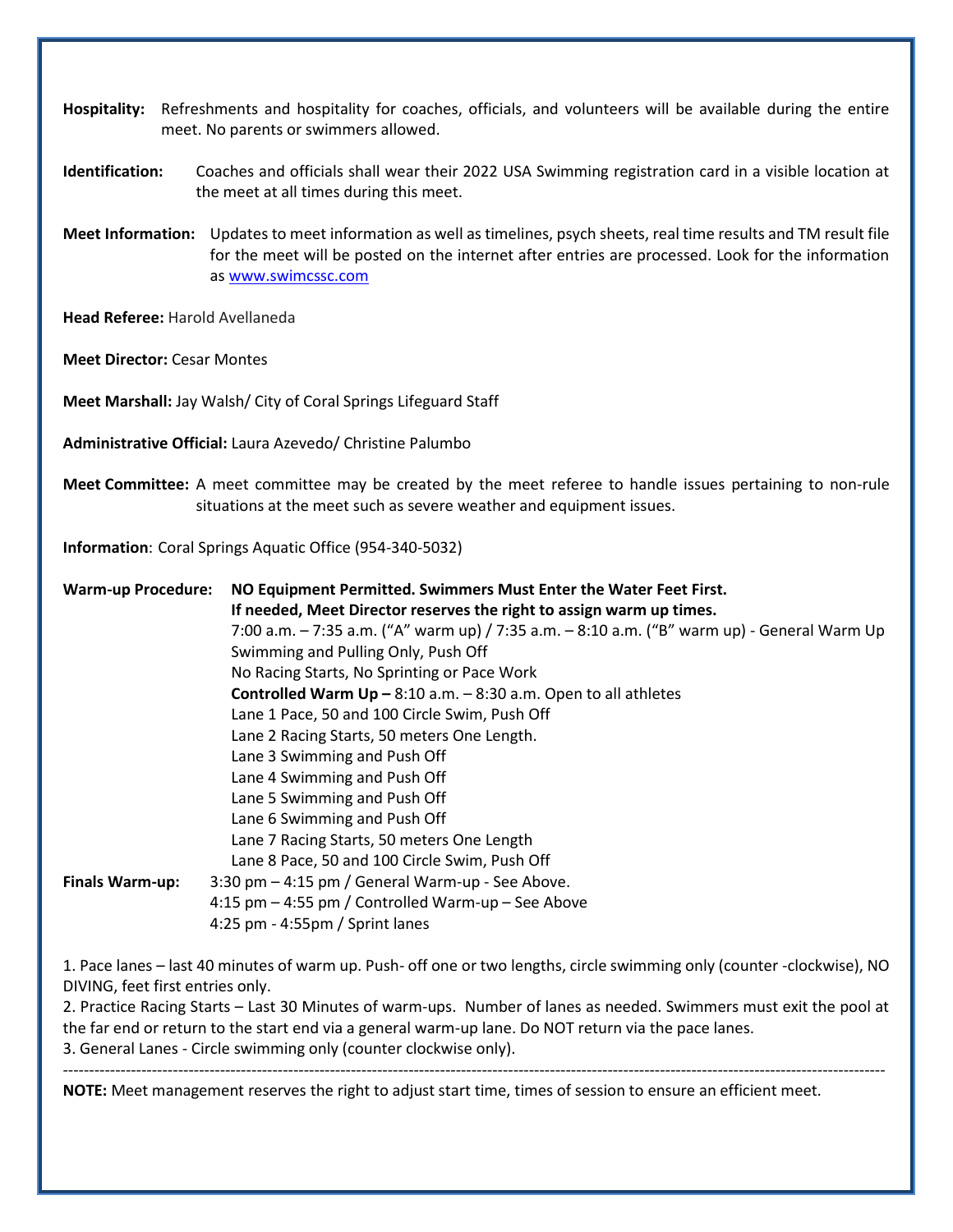- **Hospitality:** Refreshments and hospitality for coaches, officials, and volunteers will be available during the entire meet. No parents or swimmers allowed.
- **Identification:** Coaches and officials shall wear their 2022 USA Swimming registration card in a visible location at the meet at all times during this meet.
- **Meet Information:** Updates to meet information as well as timelines, psych sheets, real time results and TM result file for the meet will be posted on the internet after entries are processed. Look for the information as [www.swimcssc.com](http://www.swimcssc.com/)

**Head Referee:** Harold Avellaneda

**Meet Director:** Cesar Montes

**Meet Marshall:** Jay Walsh/ City of Coral Springs Lifeguard Staff

**Administrative Official:** Laura Azevedo/ Christine Palumbo

**Meet Committee:** A meet committee may be created by the meet referee to handle issues pertaining to non-rule situations at the meet such as severe weather and equipment issues.

**Information**: Coral Springs Aquatic Office (954-340-5032)

| <b>Warm-up Procedure:</b> | NO Equipment Permitted. Swimmers Must Enter the Water Feet First.                           |  |  |  |  |
|---------------------------|---------------------------------------------------------------------------------------------|--|--|--|--|
|                           | If needed, Meet Director reserves the right to assign warm up times.                        |  |  |  |  |
|                           | 7:00 a.m. – 7:35 a.m. ("A" warm up) / 7:35 a.m. – 8:10 a.m. ("B" warm up) - General Warm Up |  |  |  |  |
|                           | Swimming and Pulling Only, Push Off                                                         |  |  |  |  |
|                           | No Racing Starts, No Sprinting or Pace Work                                                 |  |  |  |  |
|                           | <b>Controlled Warm Up - 8:10 a.m. - 8:30 a.m. Open to all athletes</b>                      |  |  |  |  |
|                           | Lane 1 Pace, 50 and 100 Circle Swim, Push Off                                               |  |  |  |  |
|                           | Lane 2 Racing Starts, 50 meters One Length.                                                 |  |  |  |  |
|                           | Lane 3 Swimming and Push Off                                                                |  |  |  |  |
|                           | Lane 4 Swimming and Push Off                                                                |  |  |  |  |
|                           | Lane 5 Swimming and Push Off                                                                |  |  |  |  |
|                           | Lane 6 Swimming and Push Off                                                                |  |  |  |  |
|                           | Lane 7 Racing Starts, 50 meters One Length                                                  |  |  |  |  |
|                           | Lane 8 Pace, 50 and 100 Circle Swim, Push Off                                               |  |  |  |  |
| <b>Finals Warm-up:</b>    | 3:30 pm - 4:15 pm / General Warm-up - See Above.                                            |  |  |  |  |
|                           | 4:15 pm - 4:55 pm / Controlled Warm-up - See Above                                          |  |  |  |  |
|                           | 4:25 pm - 4:55pm / Sprint lanes                                                             |  |  |  |  |
|                           |                                                                                             |  |  |  |  |

1. Pace lanes – last 40 minutes of warm up. Push- off one or two lengths, circle swimming only (counter -clockwise), NO DIVING, feet first entries only.

2. Practice Racing Starts – Last 30 Minutes of warm-ups. Number of lanes as needed. Swimmers must exit the pool at the far end or return to the start end via a general warm-up lane. Do NOT return via the pace lanes. 3. General Lanes - Circle swimming only (counter clockwise only).

-------------------------------------------------------------------------------------------------------------------------------------------------------------

**NOTE:** Meet management reserves the right to adjust start time, times of session to ensure an efficient meet.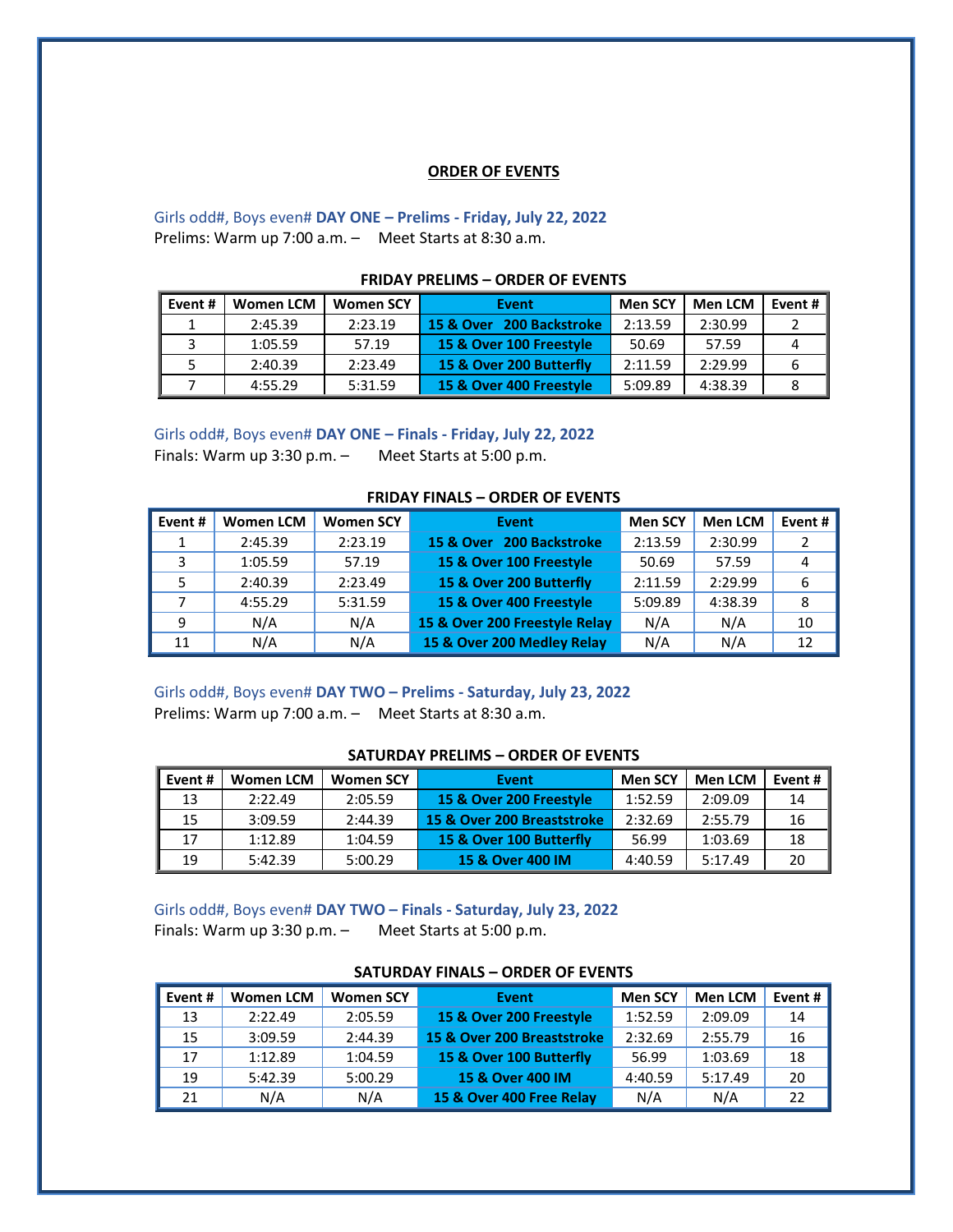#### **ORDER OF EVENTS**

# Girls odd#, Boys even# **DAY ONE – Prelims - Friday, July 22, 2022** Prelims: Warm up 7:00 a.m. – Meet Starts at 8:30 a.m.

| Event # | <b>Women LCM</b> | <b>Women SCY</b> | Event                    | <b>Men SCY</b> | <b>Men LCM</b> | Event # $\vert$ |
|---------|------------------|------------------|--------------------------|----------------|----------------|-----------------|
|         | 2:45.39          | 2:23.19          | 15 & Over 200 Backstroke | 2:13.59        | 2:30.99        |                 |
|         | 1:05.59          | 57.19            | 15 & Over 100 Freestyle  | 50.69          | 57.59          |                 |
|         | 2:40.39          | 2:23.49          | 15 & Over 200 Butterfly  | 2:11.59        | 2:29.99        |                 |
|         | 4:55.29          | 5:31.59          | 15 & Over 400 Freestyle  | 5:09.89        | 4:38.39        |                 |

### **FRIDAY PRELIMS – ORDER OF EVENTS**

Girls odd#, Boys even# **DAY ONE – Finals - Friday, July 22, 2022** Finals: Warm up 3:30 p.m. – Meet Starts at 5:00 p.m.

### **FRIDAY FINALS – ORDER OF EVENTS**

| Event# | <b>Women LCM</b> | <b>Women SCY</b> | Event                         | <b>Men SCY</b> | <b>Men LCM</b> | Event # |
|--------|------------------|------------------|-------------------------------|----------------|----------------|---------|
|        | 2:45.39          | 2:23.19          | 15 & Over 200 Backstroke      | 2:13.59        | 2:30.99        |         |
| э      | 1:05.59          | 57.19            | 15 & Over 100 Freestyle       | 50.69          | 57.59          |         |
|        | 2:40.39          | 2:23.49          | 15 & Over 200 Butterfly       | 2:11.59        | 2:29.99        |         |
|        | 4:55.29          | 5:31.59          | 15 & Over 400 Freestyle       | 5:09.89        | 4:38.39        | 8       |
|        | N/A              | N/A              | 15 & Over 200 Freestyle Relay | N/A            | N/A            | 10      |
| 11     | N/A              | N/A              | 15 & Over 200 Medley Relay    | N/A            | N/A            | 12      |

Girls odd#, Boys even# **DAY TWO – Prelims - Saturday, July 23, 2022** Prelims: Warm up 7:00 a.m. – Meet Starts at 8:30 a.m.

#### **SATURDAY PRELIMS – ORDER OF EVENTS**

| I Event # | Women LCM | <b>Women SCY</b> | Event                      | <b>Men SCY</b> | <b>Men LCM</b> | Event # $\vert$ |
|-----------|-----------|------------------|----------------------------|----------------|----------------|-----------------|
| 13        | 2:22.49   | 2:05.59          | 15 & Over 200 Freestyle    | 1:52.59        | 2:09.09        | 14              |
| 15        | 3:09.59   | 2:44.39          | 15 & Over 200 Breaststroke | 2:32.69        | 2:55.79        | 16              |
| 17        | 1:12.89   | 1:04.59          | 15 & Over 100 Butterfly    | 56.99          | 1:03.69        | 18              |
| 19        | 5:42.39   | 5:00.29          | 15 & Over 400 IM           | 4:40.59        | 5:17.49        | 20              |

Girls odd#, Boys even# **DAY TWO – Finals - Saturday, July 23, 2022** Finals: Warm up 3:30 p.m. – Meet Starts at 5:00 p.m.

| Event# | <b>Women LCM</b> | <b>Women SCY</b> | Event                      | <b>Men SCY</b> | <b>Men LCM</b> | Event # $\vert$ |
|--------|------------------|------------------|----------------------------|----------------|----------------|-----------------|
| 13     | 2:22.49          | 2:05.59          | 15 & Over 200 Freestyle    | 1:52.59        | 2:09.09        | 14              |
| 15     | 3:09.59          | 2:44.39          | 15 & Over 200 Breaststroke | 2:32.69        | 2:55.79        | 16              |
| 17     | 1:12.89          | 1:04.59          | 15 & Over 100 Butterfly    | 56.99          | 1:03.69        | 18              |
| 19     | 5:42.39          | 5:00.29          | 15 & Over 400 IM           | 4:40.59        | 5:17.49        | 20              |
| 21     | N/A              | N/A              | 15 & Over 400 Free Relay   | N/A            | N/A            | 22              |

#### **SATURDAY FINALS – ORDER OF EVENTS**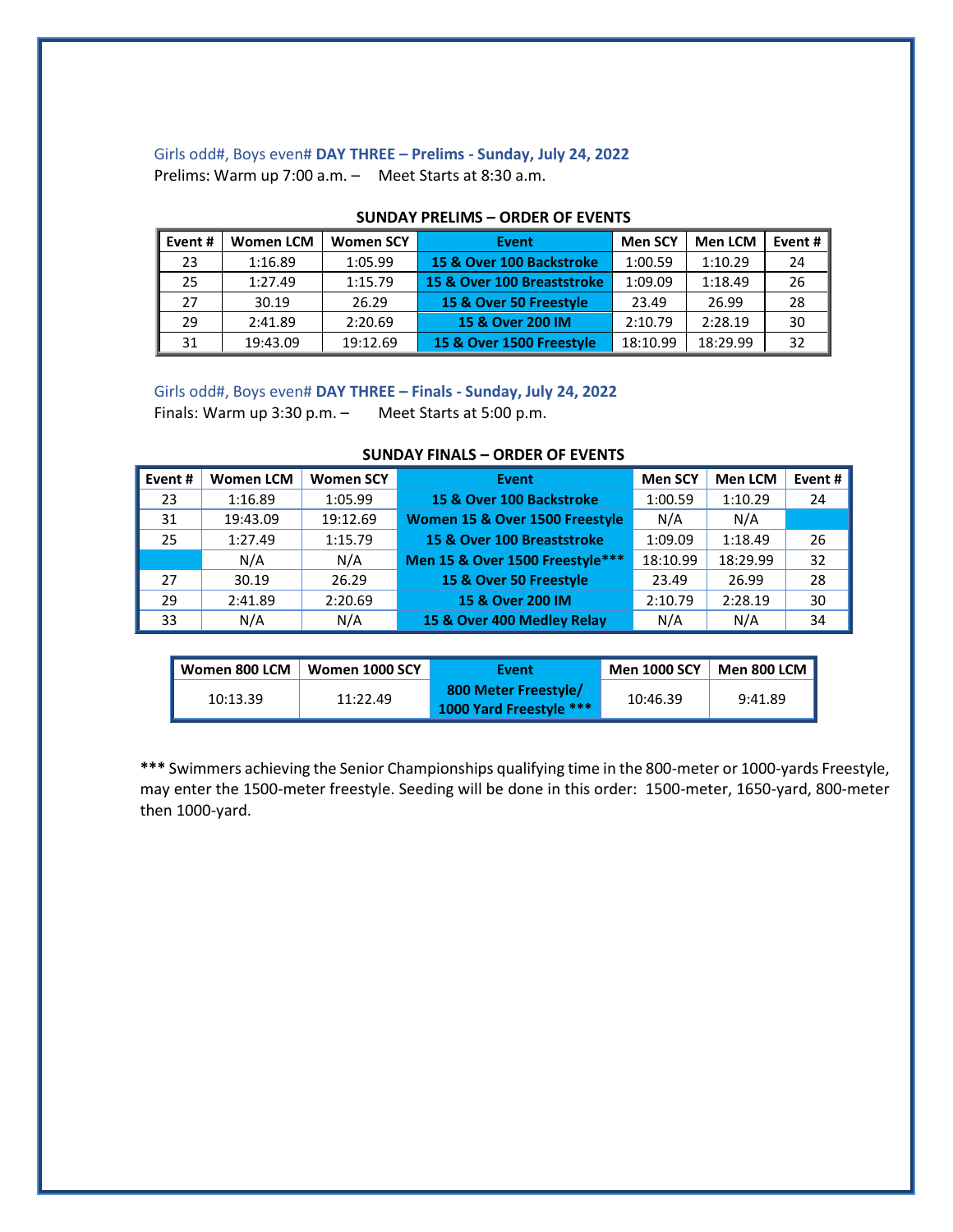# Girls odd#, Boys even# **DAY THREE – Prelims - Sunday, July 24, 2022** Prelims: Warm up 7:00 a.m. – Meet Starts at 8:30 a.m.

| Event# | <b>Women LCM</b> | <b>Women SCY</b> | Event                      | <b>Men SCY</b> | <b>Men LCM</b> | Event # $ $ |
|--------|------------------|------------------|----------------------------|----------------|----------------|-------------|
| 23     | 1:16.89          | 1:05.99          | 15 & Over 100 Backstroke   | 1:00.59        | 1:10.29        | 24          |
| 25     | 1:27.49          | 1:15.79          | 15 & Over 100 Breaststroke | 1:09.09        | 1:18.49        | 26          |
| 27     | 30.19            | 26.29            | 15 & Over 50 Freestyle     | 23.49          | 26.99          | 28          |
| 29     | 2:41.89          | 2:20.69          | 15 & Over 200 IM           | 2:10.79        | 2:28.19        | 30          |
| 31     | 19:43.09         | 19:12.69         | 15 & Over 1500 Freestyle   | 18:10.99       | 18:29.99       | 32          |

## **SUNDAY PRELIMS – ORDER OF EVENTS**

Girls odd#, Boys even# **DAY THREE – Finals - Sunday, July 24, 2022**

Finals: Warm up 3:30 p.m. – Meet Starts at 5:00 p.m.

| Event # | <b>Women LCM</b> | <b>Women SCY</b> | Event                           | <b>Men SCY</b> | <b>Men LCM</b> | Event # |
|---------|------------------|------------------|---------------------------------|----------------|----------------|---------|
| 23      | 1:16.89          | 1:05.99          | 15 & Over 100 Backstroke        | 1:00.59        | 1:10.29        | 24      |
| 31      | 19:43.09         | 19:12.69         | Women 15 & Over 1500 Freestyle  | N/A            | N/A            |         |
| 25      | 1:27.49          | 1:15.79          | 15 & Over 100 Breaststroke      | 1:09.09        | 1:18.49        | 26      |
|         | N/A              | N/A              | Men 15 & Over 1500 Freestyle*** | 18:10.99       | 18:29.99       | 32      |
| 27      | 30.19            | 26.29            | 15 & Over 50 Freestyle          | 23.49          | 26.99          | 28      |
| 29      | 2:41.89          | 2:20.69          | 15 & Over 200 IM                | 2:10.79        | 2:28.19        | 30      |
| 33      | N/A              | N/A              | 15 & Over 400 Medley Relay      | N/A            | N/A            | 34      |

| Women 800 LCM | Women 1000 SCY | Event                                           | <b>Men 1000 SCY</b> | <b>Men 800 LCM</b> |
|---------------|----------------|-------------------------------------------------|---------------------|--------------------|
| 10:13.39      | 11:22.49       | 800 Meter Freestyle/<br>1000 Yard Freestyle *** | 10:46.39            | 9:41.89            |

**\*\*\*** Swimmers achieving the Senior Championships qualifying time in the 800-meter or 1000-yards Freestyle, may enter the 1500-meter freestyle. Seeding will be done in this order: 1500-meter, 1650-yard, 800-meter then 1000-yard.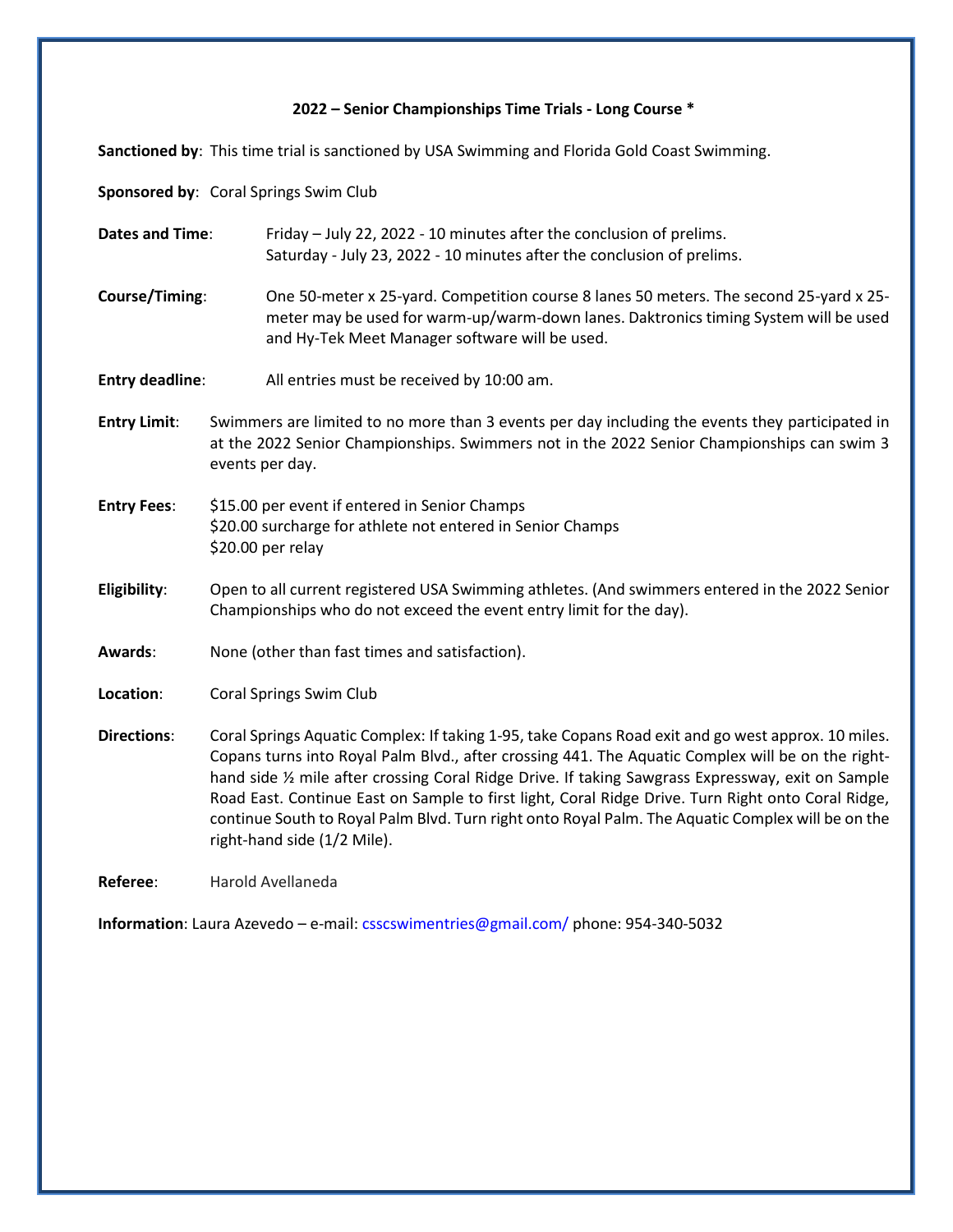### **2022 – Senior Championships Time Trials - Long Course \***

**Sanctioned by**: This time trial is sanctioned by USA Swimming and Florida Gold Coast Swimming.

**Sponsored by**: Coral Springs Swim Club

**Dates and Time**: Friday – July 22, 2022 - 10 minutes after the conclusion of prelims. Saturday - July 23, 2022 - 10 minutes after the conclusion of prelims.

- **Course/Timing**: One 50-meter x 25-yard. Competition course 8 lanes 50 meters. The second 25-yard x 25 meter may be used for warm-up/warm-down lanes. Daktronics timing System will be used and Hy-Tek Meet Manager software will be used.
- **Entry deadline**: All entries must be received by 10:00 am.
- **Entry Limit**: Swimmers are limited to no more than 3 events per day including the events they participated in at the 2022 Senior Championships. Swimmers not in the 2022 Senior Championships can swim 3 events per day.
- **Entry Fees**: \$15.00 per event if entered in Senior Champs \$20.00 surcharge for athlete not entered in Senior Champs \$20.00 per relay
- **Eligibility**: Open to all current registered USA Swimming athletes. (And swimmers entered in the 2022 Senior Championships who do not exceed the event entry limit for the day).
- **Awards**: None (other than fast times and satisfaction).
- **Location:** Coral Springs Swim Club
- **Directions**: Coral Springs Aquatic Complex: If taking 1-95, take Copans Road exit and go west approx. 10 miles. Copans turns into Royal Palm Blvd., after crossing 441. The Aquatic Complex will be on the righthand side ½ mile after crossing Coral Ridge Drive. If taking Sawgrass Expressway, exit on Sample Road East. Continue East on Sample to first light, Coral Ridge Drive. Turn Right onto Coral Ridge, continue South to Royal Palm Blvd. Turn right onto Royal Palm. The Aquatic Complex will be on the right-hand side (1/2 Mile).

**Referee**: Harold Avellaneda

**Information**: Laura Azevedo – e-mail: csscswimentries@gmail.com/ phone: 954-340-5032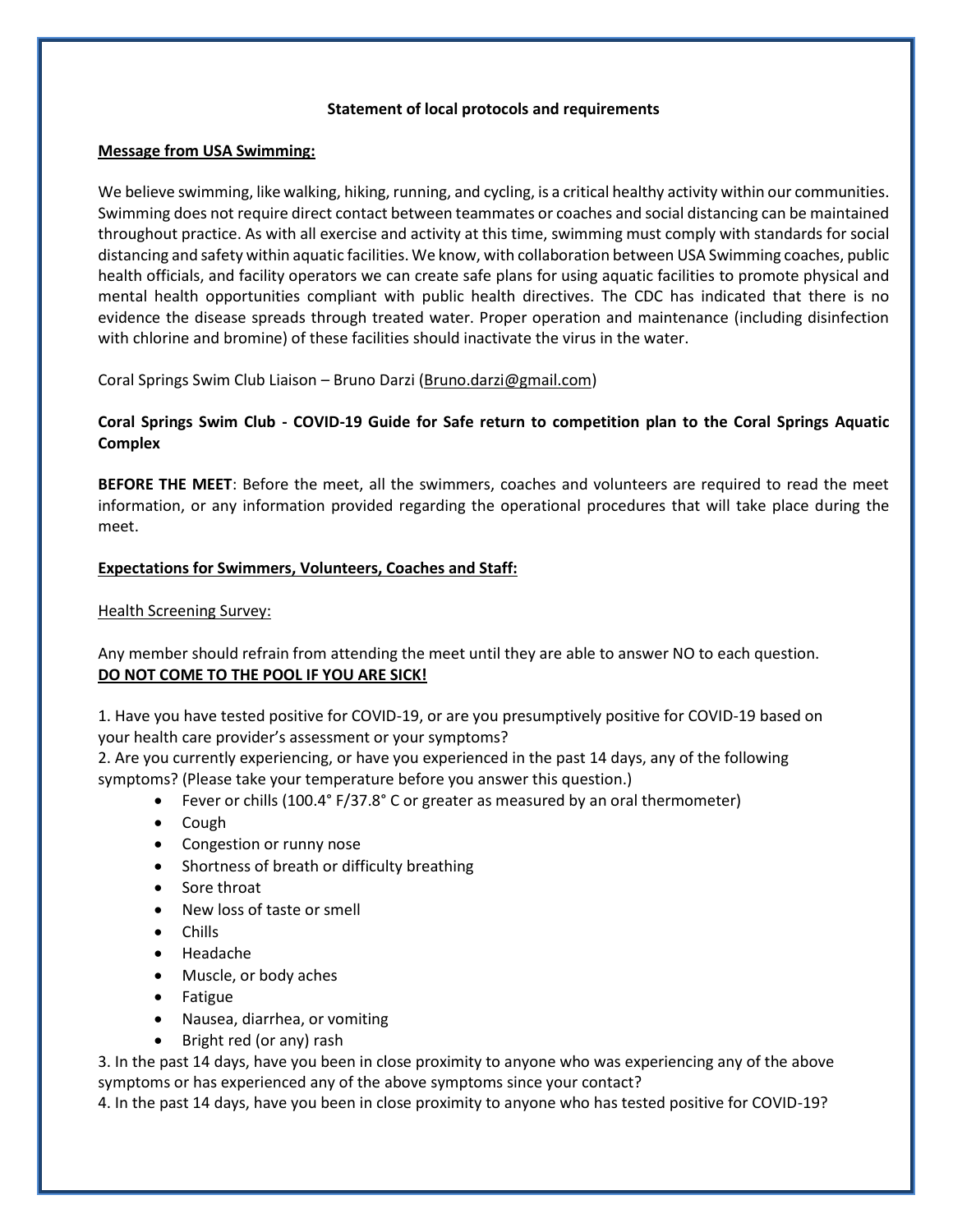### **Statement of local protocols and requirements**

### **Message from USA Swimming:**

We believe swimming, like walking, hiking, running, and cycling, is a critical healthy activity within our communities. Swimming does not require direct contact between teammates or coaches and social distancing can be maintained throughout practice. As with all exercise and activity at this time, swimming must comply with standards for social distancing and safety within aquatic facilities. We know, with collaboration between USA Swimming coaches, public health officials, and facility operators we can create safe plans for using aquatic facilities to promote physical and mental health opportunities compliant with public health directives. The CDC has indicated that there is no evidence the disease spreads through treated water. Proper operation and maintenance (including disinfection with chlorine and bromine) of these facilities should inactivate the virus in the water.

Coral Springs Swim Club Liaison – Bruno Darzi [\(Bruno.darzi@gmail.com\)](mailto:Bruno.darzi@gmail.com)

# **Coral Springs Swim Club - COVID-19 Guide for Safe return to competition plan to the Coral Springs Aquatic Complex**

**BEFORE THE MEET**: Before the meet, all the swimmers, coaches and volunteers are required to read the meet information, or any information provided regarding the operational procedures that will take place during the meet.

# **Expectations for Swimmers, Volunteers, Coaches and Staff:**

Health Screening Survey:

Any member should refrain from attending the meet until they are able to answer NO to each question. **DO NOT COME TO THE POOL IF YOU ARE SICK!**

1. Have you have tested positive for COVID-19, or are you presumptively positive for COVID-19 based on your health care provider's assessment or your symptoms?

2. Are you currently experiencing, or have you experienced in the past 14 days, any of the following symptoms? (Please take your temperature before you answer this question.)

- Fever or chills (100.4° F/37.8° C or greater as measured by an oral thermometer)
- Cough
- Congestion or runny nose
- Shortness of breath or difficulty breathing
- Sore throat
- New loss of taste or smell
- Chills
- Headache
- Muscle, or body aches
- Fatigue
- Nausea, diarrhea, or vomiting
- Bright red (or any) rash

3. In the past 14 days, have you been in close proximity to anyone who was experiencing any of the above symptoms or has experienced any of the above symptoms since your contact?

4. In the past 14 days, have you been in close proximity to anyone who has tested positive for COVID-19?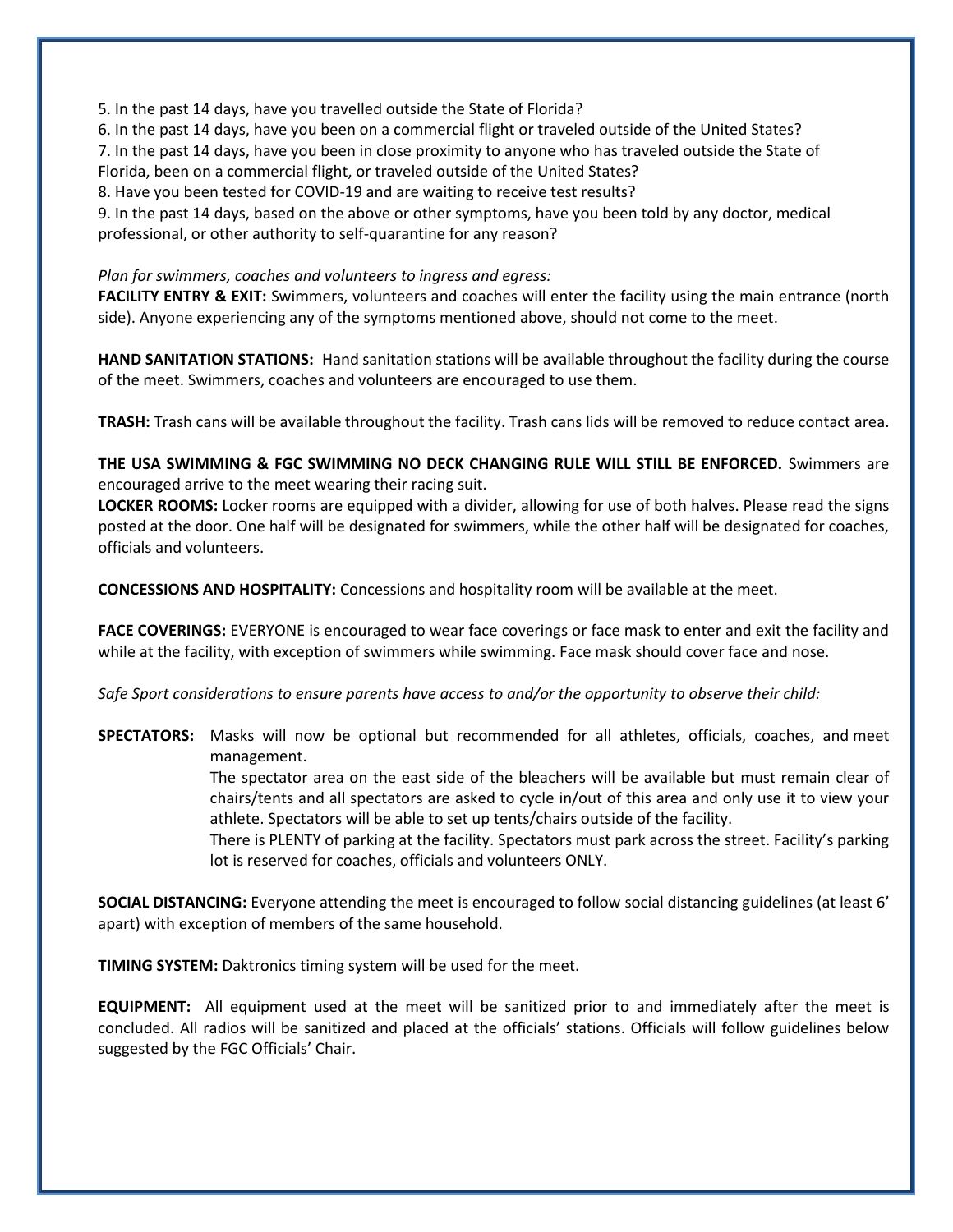5. In the past 14 days, have you travelled outside the State of Florida?

6. In the past 14 days, have you been on a commercial flight or traveled outside of the United States? 7. In the past 14 days, have you been in close proximity to anyone who has traveled outside the State of Florida, been on a commercial flight, or traveled outside of the United States?

8. Have you been tested for COVID-19 and are waiting to receive test results?

9. In the past 14 days, based on the above or other symptoms, have you been told by any doctor, medical professional, or other authority to self-quarantine for any reason?

# *Plan for swimmers, coaches and volunteers to ingress and egress:*

**FACILITY ENTRY & EXIT:** Swimmers, volunteers and coaches will enter the facility using the main entrance (north side). Anyone experiencing any of the symptoms mentioned above, should not come to the meet.

**HAND SANITATION STATIONS:** Hand sanitation stations will be available throughout the facility during the course of the meet. Swimmers, coaches and volunteers are encouraged to use them.

**TRASH:** Trash cans will be available throughout the facility. Trash cans lids will be removed to reduce contact area.

**THE USA SWIMMING & FGC SWIMMING NO DECK CHANGING RULE WILL STILL BE ENFORCED.** Swimmers are encouraged arrive to the meet wearing their racing suit.

**LOCKER ROOMS:** Locker rooms are equipped with a divider, allowing for use of both halves. Please read the signs posted at the door. One half will be designated for swimmers, while the other half will be designated for coaches, officials and volunteers.

**CONCESSIONS AND HOSPITALITY:** Concessions and hospitality room will be available at the meet.

**FACE COVERINGS:** EVERYONE is encouraged to wear face coverings or face mask to enter and exit the facility and while at the facility, with exception of swimmers while swimming. Face mask should cover face and nose.

*Safe Sport considerations to ensure parents have access to and/or the opportunity to observe their child:*

**SPECTATORS:** Masks will now be optional but recommended for all athletes, officials, coaches, and meet management.

> The spectator area on the east side of the bleachers will be available but must remain clear of chairs/tents and all spectators are asked to cycle in/out of this area and only use it to view your athlete. Spectators will be able to set up tents/chairs outside of the facility.

> There is PLENTY of parking at the facility. Spectators must park across the street. Facility's parking lot is reserved for coaches, officials and volunteers ONLY.

**SOCIAL DISTANCING:** Everyone attending the meet is encouraged to follow social distancing guidelines (at least 6' apart) with exception of members of the same household.

**TIMING SYSTEM:** Daktronics timing system will be used for the meet.

**EQUIPMENT:** All equipment used at the meet will be sanitized prior to and immediately after the meet is concluded. All radios will be sanitized and placed at the officials' stations. Officials will follow guidelines below suggested by the FGC Officials' Chair.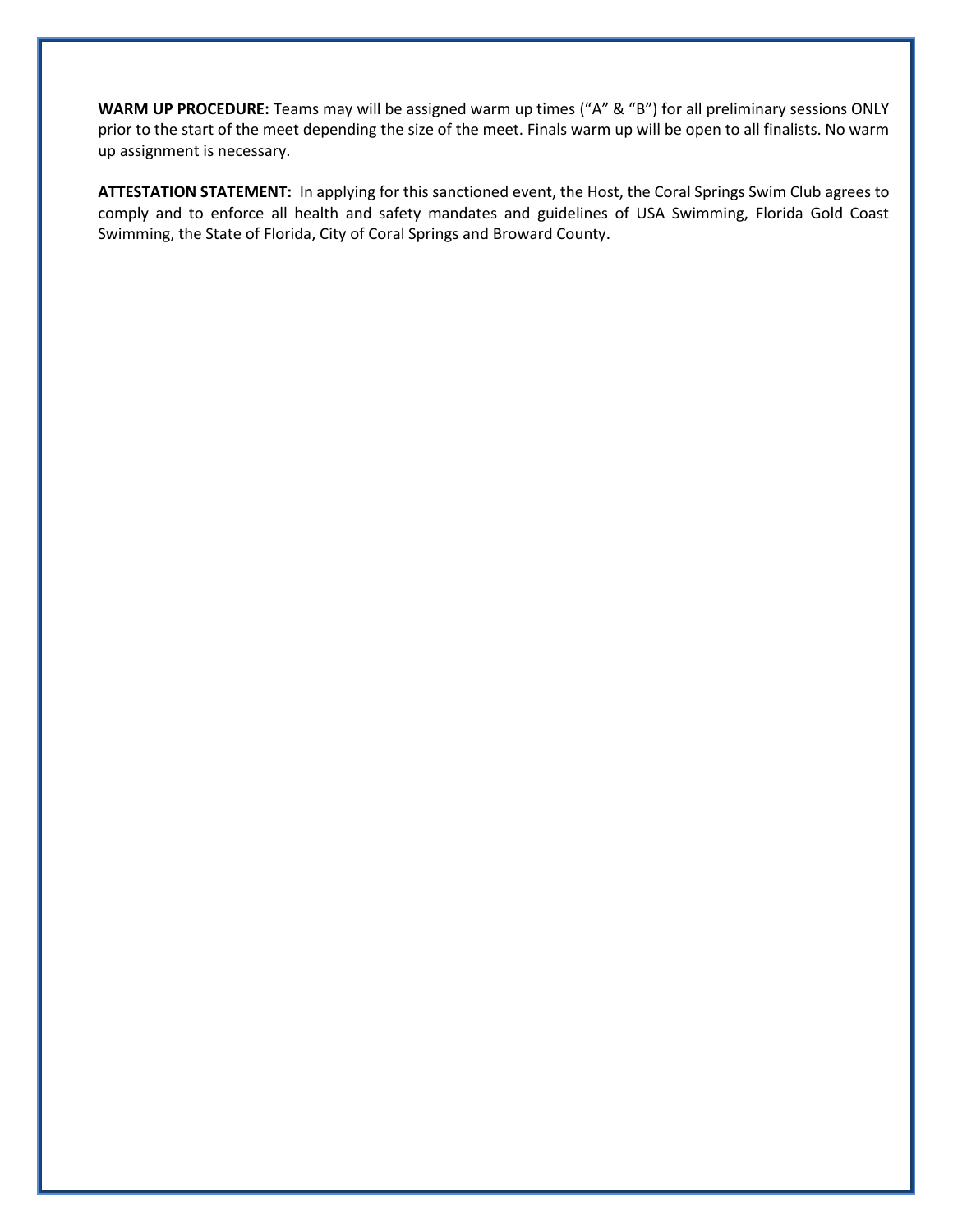**WARM UP PROCEDURE:** Teams may will be assigned warm up times ("A" & "B") for all preliminary sessions ONLY prior to the start of the meet depending the size of the meet. Finals warm up will be open to all finalists. No warm up assignment is necessary.

**ATTESTATION STATEMENT:** In applying for this sanctioned event, the Host, the Coral Springs Swim Club agrees to comply and to enforce all health and safety mandates and guidelines of USA Swimming, Florida Gold Coast Swimming, the State of Florida, City of Coral Springs and Broward County.